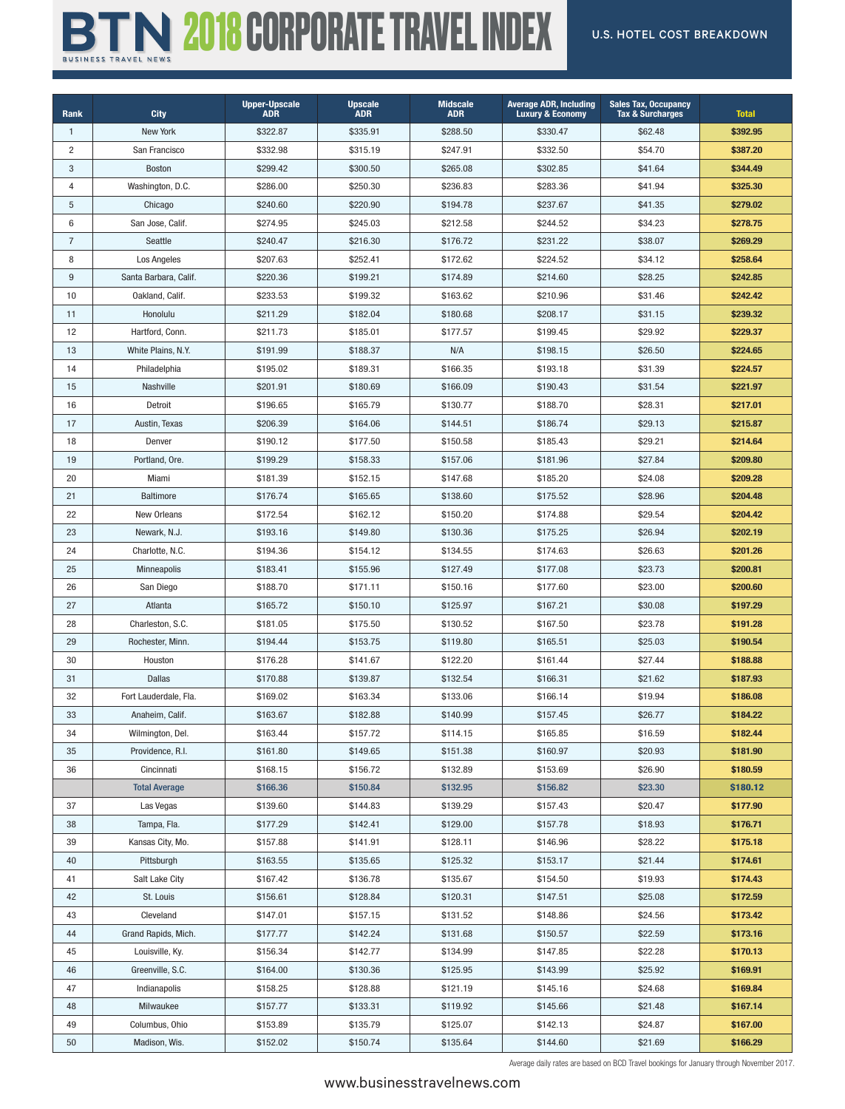## **BTN 2018 CORPORATE TRAVEL INDEX** U.S. HOTEL COST BREAKDOWN

| Rank                    | <b>City</b>           | <b>Upper-Upscale</b><br><b>ADR</b> | <b>Upscale</b><br><b>ADR</b> | <b>Midscale</b><br><b>ADR</b> | <b>Average ADR, Including</b><br><b>Luxury &amp; Economy</b> | <b>Sales Tax, Occupancy</b><br><b>Tax &amp; Surcharges</b> | <b>Total</b> |
|-------------------------|-----------------------|------------------------------------|------------------------------|-------------------------------|--------------------------------------------------------------|------------------------------------------------------------|--------------|
| $\mathbf{1}$            | New York              | \$322.87                           | \$335.91                     | \$288.50                      | \$330.47                                                     | \$62.48                                                    | \$392.95     |
| $\overline{\mathbf{c}}$ | San Francisco         | \$332.98                           | \$315.19                     | \$247.91                      | \$332.50                                                     | \$54.70                                                    | \$387.20     |
| 3                       | <b>Boston</b>         | \$299.42                           | \$300.50                     | \$265.08                      | \$302.85                                                     | \$41.64                                                    | \$344.49     |
| 4                       | Washington, D.C.      | \$286.00                           | \$250.30                     | \$236.83                      | \$283.36                                                     | \$41.94                                                    | \$325.30     |
| 5                       | Chicago               | \$240.60                           | \$220.90                     | \$194.78                      | \$237.67                                                     | \$41.35                                                    | \$279.02     |
| 6                       | San Jose, Calif.      | \$274.95                           | \$245.03                     | \$212.58                      | \$244.52                                                     | \$34.23                                                    | \$278.75     |
| $\overline{7}$          | Seattle               | \$240.47                           | \$216.30                     | \$176.72                      | \$231.22                                                     | \$38.07                                                    | \$269.29     |
| 8                       | Los Angeles           | \$207.63                           | \$252.41                     | \$172.62                      | \$224.52                                                     | \$34.12                                                    | \$258.64     |
| 9                       | Santa Barbara, Calif. | \$220.36                           | \$199.21                     | \$174.89                      | \$214.60                                                     | \$28.25                                                    | \$242.85     |
| 10                      | Oakland, Calif.       | \$233.53                           | \$199.32                     | \$163.62                      | \$210.96                                                     | \$31.46                                                    | \$242.42     |
| 11                      | Honolulu              | \$211.29                           | \$182.04                     | \$180.68                      | \$208.17                                                     | \$31.15                                                    | \$239.32     |
| 12                      | Hartford, Conn.       | \$211.73                           | \$185.01                     | \$177.57                      | \$199.45                                                     | \$29.92                                                    | \$229.37     |
| 13                      | White Plains, N.Y.    | \$191.99                           | \$188.37                     | N/A                           | \$198.15                                                     | \$26.50                                                    | \$224.65     |
| 14                      | Philadelphia          | \$195.02                           | \$189.31                     | \$166.35                      | \$193.18                                                     | \$31.39                                                    | \$224.57     |
| 15                      | Nashville             | \$201.91                           | \$180.69                     | \$166.09                      | \$190.43                                                     | \$31.54                                                    | \$221.97     |
| 16                      | Detroit               | \$196.65                           | \$165.79                     | \$130.77                      | \$188.70                                                     | \$28.31                                                    | \$217.01     |
| 17                      | Austin, Texas         | \$206.39                           | \$164.06                     | \$144.51                      | \$186.74                                                     | \$29.13                                                    | \$215.87     |
| 18                      | Denver                | \$190.12                           | \$177.50                     | \$150.58                      | \$185.43                                                     | \$29.21                                                    | \$214.64     |
| 19                      | Portland, Ore.        | \$199.29                           | \$158.33                     | \$157.06                      | \$181.96                                                     | \$27.84                                                    | \$209.80     |
| 20                      | Miami                 | \$181.39                           | \$152.15                     | \$147.68                      | \$185.20                                                     | \$24.08                                                    | \$209.28     |
| 21                      | <b>Baltimore</b>      | \$176.74                           | \$165.65                     | \$138.60                      | \$175.52                                                     | \$28.96                                                    | \$204.48     |
| 22                      | New Orleans           | \$172.54                           | \$162.12                     | \$150.20                      | \$174.88                                                     | \$29.54                                                    | \$204.42     |
| 23                      | Newark, N.J.          | \$193.16                           | \$149.80                     | \$130.36                      | \$175.25                                                     | \$26.94                                                    | \$202.19     |
| 24                      | Charlotte, N.C.       | \$194.36                           | \$154.12                     | \$134.55                      | \$174.63                                                     | \$26.63                                                    | \$201.26     |
| 25                      | <b>Minneapolis</b>    | \$183.41                           | \$155.96                     | \$127.49                      | \$177.08                                                     | \$23.73                                                    | \$200.81     |
| 26                      | San Diego             | \$188.70                           | \$171.11                     | \$150.16                      | \$177.60                                                     | \$23.00                                                    | \$200.60     |
| 27                      | Atlanta               | \$165.72                           | \$150.10                     | \$125.97                      | \$167.21                                                     | \$30.08                                                    | \$197.29     |
| 28                      | Charleston, S.C.      | \$181.05                           | \$175.50                     | \$130.52                      | \$167.50                                                     | \$23.78                                                    | \$191.28     |
| 29                      | Rochester, Minn.      | \$194.44                           | \$153.75                     | \$119.80                      | \$165.51                                                     | \$25.03                                                    | \$190.54     |
| 30                      | Houston               | \$176.28                           | \$141.67                     | \$122.20                      | \$161.44                                                     | \$27.44                                                    | \$188.88     |
| 31                      | <b>Dallas</b>         | \$170.88                           | \$139.87                     | \$132.54                      | \$166.31                                                     | \$21.62                                                    | \$187.93     |
| 32                      | Fort Lauderdale, Fla. | \$169.02                           | \$163.34                     | \$133.06                      | \$166.14                                                     | \$19.94                                                    | \$186.08     |
| 33                      | Anaheim, Calif.       | \$163.67                           | \$182.88                     | \$140.99                      | \$157.45                                                     | \$26.77                                                    | \$184.22     |
| 34                      | Wilmington, Del.      | \$163.44                           | \$157.72                     | \$114.15                      | \$165.85                                                     | \$16.59                                                    | \$182.44     |
| 35                      | Providence, R.I.      | \$161.80                           | \$149.65                     | \$151.38                      | \$160.97                                                     | \$20.93                                                    | \$181.90     |
| 36                      | Cincinnati            | \$168.15                           | \$156.72                     | \$132.89                      | \$153.69                                                     | \$26.90                                                    | \$180.59     |
|                         | <b>Total Average</b>  | \$166.36                           | \$150.84                     | \$132.95                      | \$156.82                                                     | \$23.30                                                    | \$180.12     |
| 37                      | Las Vegas             | \$139.60                           | \$144.83                     | \$139.29                      | \$157.43                                                     | \$20.47                                                    | \$177.90     |
| 38                      | Tampa, Fla.           | \$177.29                           | \$142.41                     | \$129.00                      | \$157.78                                                     | \$18.93                                                    | \$176.71     |
| 39                      | Kansas City, Mo.      | \$157.88                           | \$141.91                     | \$128.11                      | \$146.96                                                     | \$28.22                                                    | \$175.18     |
| 40                      | Pittsburgh            | \$163.55                           | \$135.65                     | \$125.32                      | \$153.17                                                     | \$21.44                                                    | \$174.61     |
| 41                      | Salt Lake City        | \$167.42                           | \$136.78                     | \$135.67                      | \$154.50                                                     | \$19.93                                                    | \$174.43     |
| 42                      | St. Louis             | \$156.61                           | \$128.84                     | \$120.31                      | \$147.51                                                     | \$25.08                                                    | \$172.59     |
| 43                      | Cleveland             | \$147.01                           | \$157.15                     | \$131.52                      | \$148.86                                                     | \$24.56                                                    | \$173.42     |
| 44                      | Grand Rapids, Mich.   | \$177.77                           | \$142.24                     | \$131.68                      | \$150.57                                                     | \$22.59                                                    | \$173.16     |
| 45                      | Louisville, Ky.       | \$156.34                           | \$142.77                     | \$134.99                      | \$147.85                                                     | \$22.28                                                    | \$170.13     |
| 46                      | Greenville, S.C.      | \$164.00                           | \$130.36                     | \$125.95                      | \$143.99                                                     | \$25.92                                                    | \$169.91     |
| 47                      | Indianapolis          | \$158.25                           | \$128.88                     | \$121.19                      | \$145.16                                                     | \$24.68                                                    | \$169.84     |
| 48                      | Milwaukee             | \$157.77                           | \$133.31                     | \$119.92                      | \$145.66                                                     | \$21.48                                                    | \$167.14     |
|                         |                       |                                    |                              |                               |                                                              |                                                            |              |
| 49                      | Columbus, Ohio        | \$153.89                           | \$135.79                     | \$125.07                      | \$142.13                                                     | \$24.87                                                    | \$167.00     |
| 50                      | Madison, Wis.         | \$152.02                           | \$150.74                     | \$135.64                      | \$144.60                                                     | \$21.69                                                    | \$166.29     |

Average daily rates are based on BCD Travel bookings for January through November 2017.